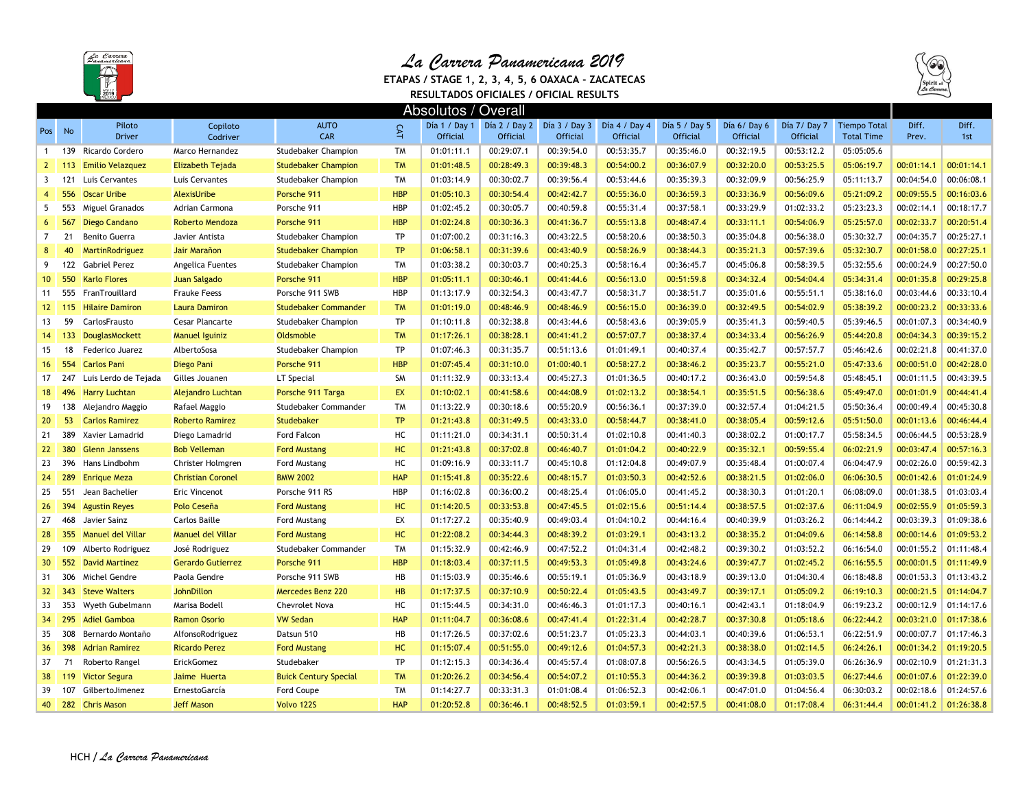

## *La Carrera Panamericana 2019*

 **ETAPAS / STAGE 1, 2, 3, 4, 5, 6 OAXACA - ZACATECASRESULTADOS OFICIALES / OFICIAL RESULTS**



|                  | Absolutos / Overall |                          |                          |                              |            |            |                                               |                 |                 |                  |             |              |                     |            |            |
|------------------|---------------------|--------------------------|--------------------------|------------------------------|------------|------------|-----------------------------------------------|-----------------|-----------------|------------------|-------------|--------------|---------------------|------------|------------|
| Pos              | No                  | Piloto                   | Copiloto                 | <b>AUTO</b>                  | <b>CAT</b> |            | Día 1 / Day 1   Día 2 / Day 2   Día 3 / Day 3 |                 | Día 4 / Day 4   | Día $5/$ Day $5$ | Día 6/Day 6 | Día 7/ Day 7 | <b>Tiempo Total</b> | Diff.      | Diff.      |
|                  |                     | <b>Driver</b>            | Codriver                 | CAR                          |            | Official   | Official                                      | <b>Official</b> | <b>Official</b> | <b>Official</b>  | Official    | Official     | <b>Total Time</b>   | Prev.      | 1st        |
| $\mathbf{1}$     | 139                 | Ricardo Cordero          | Marco Hernandez          | <b>Studebaker Champion</b>   | <b>TM</b>  | 01:01:11.1 | 00:29:07.1                                    | 00:39:54.0      | 00:53:35.7      | 00:35:46.0       | 00:32:19.5  | 00:53:12.2   | 05:05:05.6          |            |            |
| $\mathbf{2}$     | 113                 | <b>Emilio Velazquez</b>  | <b>Elizabeth Tejada</b>  | <b>Studebaker Champion</b>   | <b>TM</b>  | 01:01:48.5 | 00:28:49.3                                    | 00:39:48.3      | 00:54:00.2      | 00:36:07.9       | 00:32:20.0  | 00:53:25.5   | 05:06:19.7          | 00:01:14.1 | 00:01:14.1 |
| 3                |                     | 121 Luis Cervantes       | Luis Cervantes           | <b>Studebaker Champion</b>   | <b>TM</b>  | 01:03:14.9 | 00:30:02.7                                    | 00:39:56.4      | 00:53:44.6      | 00:35:39.3       | 00:32:09.9  | 00:56:25.9   | 05:11:13.7          | 00:04:54.0 | 00:06:08.1 |
| $\overline{4}$   | 556                 | <b>Oscar Uribe</b>       | <b>AlexisUribe</b>       | Porsche 911                  | <b>HBP</b> | 01:05:10.3 | 00:30:54.4                                    | 00:42:42.7      | 00:55:36.0      | 00:36:59.3       | 00:33:36.9  | 00:56:09.6   | 05:21:09.2          | 00:09:55.5 | 00:16:03.6 |
| 5                | 553                 | Miguel Granados          | Adrian Carmona           | Porsche 911                  | <b>HBP</b> | 01:02:45.2 | 00:30:05.7                                    | 00:40:59.8      | 00:55:31.4      | 00:37:58.1       | 00:33:29.9  | 01:02:33.2   | 05:23:23.3          | 00:02:14.1 | 00:18:17.7 |
| 6                | 567                 | Diego Candano            | Roberto Mendoza          | Porsche 911                  | <b>HBP</b> | 01:02:24.8 | 00:30:36.3                                    | 00:41:36.7      | 00:55:13.8      | 00:48:47.4       | 00:33:11.1  | 00:54:06.9   | 05:25:57.0          | 00:02:33.7 | 00:20:51.4 |
| $\overline{7}$   | 21                  | Benito Guerra            | Javier Antista           | <b>Studebaker Champion</b>   | TP         | 01:07:00.2 | 00:31:16.3                                    | 00:43:22.5      | 00:58:20.6      | 00:38:50.3       | 00:35:04.8  | 00:56:38.0   | 05:30:32.7          | 00:04:35.7 | 00:25:27.1 |
| 8                | 40                  | <b>MartinRodriguez</b>   | Jair Marañon             | <b>Studebaker Champion</b>   | <b>TP</b>  | 01:06:58.1 | 00:31:39.6                                    | 00:43:40.9      | 00:58:26.9      | 00:38:44.3       | 00:35:21.3  | 00:57:39.6   | 05:32:30.7          | 00:01:58.0 | 00:27:25.1 |
| 9                | 122                 | <b>Gabriel Perez</b>     | Angelica Fuentes         | Studebaker Champion          | <b>TM</b>  | 01:03:38.2 | 00:30:03.7                                    | 00:40:25.3      | 00:58:16.4      | 00:36:45.7       | 00:45:06.8  | 00:58:39.5   | 05:32:55.6          | 00:00:24.9 | 00:27:50.0 |
| 10 <sup>10</sup> | 550                 | <b>Karlo Flores</b>      | <b>Juan Salgado</b>      | Porsche 911                  | <b>HBP</b> | 01:05:11.1 | 00:30:46.1                                    | 00:41:44.6      | 00:56:13.0      | 00:51:59.8       | 00:34:32.4  | 00:54:04.4   | 05:34:31.4          | 00:01:35.8 | 00:29:25.8 |
| 11               |                     | 555 FranTrouillard       | <b>Frauke Feess</b>      | Porsche 911 SWB              | <b>HBP</b> | 01:13:17.9 | 00:32:54.3                                    | 00:43:47.7      | 00:58:31.7      | 00:38:51.7       | 00:35:01.6  | 00:55:51.1   | 05:38:16.0          | 00:03:44.6 | 00:33:10.4 |
| 12 <sup>2</sup>  | 115                 | <b>Hilaire Damiron</b>   | <b>Laura Damiron</b>     | <b>Studebaker Commander</b>  | <b>TM</b>  | 01:01:19.0 | 00:48:46.9                                    | 00:48:46.9      | 00:56:15.0      | 00:36:39.0       | 00:32:49.5  | 00:54:02.9   | 05:38:39.2          | 00:00:23.2 | 00:33:33.6 |
| 13               | 59                  | CarlosFrausto            | Cesar Plancarte          | Studebaker Champion          | TP         | 01:10:11.8 | 00:32:38.8                                    | 00:43:44.6      | 00:58:43.6      | 00:39:05.9       | 00:35:41.3  | 00:59:40.5   | 05:39:46.5          | 00:01:07.3 | 00:34:40.9 |
| 14               | 133                 | DouglasMockett           | <b>Manuel Iguiniz</b>    | Oldsmoble                    | <b>TM</b>  | 01:17:26.1 | 00:38:28.1                                    | 00:41:41.2      | 00:57:07.7      | 00:38:37.4       | 00:34:33.4  | 00:56:26.9   | 05:44:20.8          | 00:04:34.3 | 00:39:15.2 |
| 15               | 18                  | Federico Juarez          | AlbertoSosa              | <b>Studebaker Champion</b>   | TP         | 01:07:46.3 | 00:31:35.7                                    | 00:51:13.6      | 01:01:49.1      | 00:40:37.4       | 00:35:42.7  | 00:57:57.7   | 05:46:42.6          | 00:02:21.8 | 00:41:37.0 |
| 16               | 554                 | <b>Carlos Pani</b>       | Diego Pani               | Porsche 911                  | <b>HBP</b> | 01:07:45.4 | 00:31:10.0                                    | 01:00:40.1      | 00:58:27.2      | 00:38:46.2       | 00:35:23.7  | 00:55:21.0   | 05:47:33.6          | 00:00:51.0 | 00:42:28.0 |
| 17               | 247                 | Luis Lerdo de Tejada     | Gilles Jouanen           | LT Special                   | SM         | 01:11:32.9 | 00:33:13.4                                    | 00:45:27.3      | 01:01:36.5      | 00:40:17.2       | 00:36:43.0  | 00:59:54.8   | 05:48:45.1          | 00:01:11.5 | 00:43:39.5 |
| 18               | 496                 | <b>Harry Luchtan</b>     | <b>Alejandro Luchtan</b> | Porsche 911 Targa            | EX         | 01:10:02.1 | 00:41:58.6                                    | 00:44:08.9      | 01:02:13.2      | 00:38:54.1       | 00:35:51.5  | 00:56:38.6   | 05:49:47.0          | 00:01:01.9 | 00:44:41.4 |
| 19               | 138                 | Alejandro Maggio         | Rafael Maggio            | Studebaker Commander         | <b>TM</b>  | 01:13:22.9 | 00:30:18.6                                    | 00:55:20.9      | 00:56:36.1      | 00:37:39.0       | 00:32:57.4  | 01:04:21.5   | 05:50:36.4          | 00:00:49.4 | 00:45:30.8 |
| 20               | 53                  | <b>Carlos Ramirez</b>    | <b>Roberto Ramirez</b>   | Studebaker                   | <b>TP</b>  | 01:21:43.8 | 00:31:49.5                                    | 00:43:33.0      | 00:58:44.7      | 00:38:41.0       | 00:38:05.4  | 00:59:12.6   | 05:51:50.0          | 00:01:13.6 | 00:46:44.4 |
| 21               | 389                 | Xavier Lamadrid          | Diego Lamadrid           | Ford Falcon                  | HC         | 01:11:21.0 | 00:34:31.1                                    | 00:50:31.4      | 01:02:10.8      | 00:41:40.3       | 00:38:02.2  | 01:00:17.7   | 05:58:34.5          | 00:06:44.5 | 00:53:28.9 |
| 22               | 380                 | <b>Glenn Janssens</b>    | <b>Bob Velleman</b>      | <b>Ford Mustang</b>          | HC         | 01:21:43.8 | 00:37:02.8                                    | 00:46:40.7      | 01:01:04.2      | 00:40:22.9       | 00:35:32.1  | 00:59:55.4   | 06:02:21.9          | 00:03:47.4 | 00:57:16.3 |
| 23               | 396                 | Hans Lindbohm            | Christer Holmgren        | Ford Mustang                 | HC         | 01:09:16.9 | 00:33:11.7                                    | 00:45:10.8      | 01:12:04.8      | 00:49:07.9       | 00:35:48.4  | 01:00:07.4   | 06:04:47.9          | 00:02:26.0 | 00:59:42.3 |
| 24               | 289                 | <b>Enrique Meza</b>      | <b>Christian Coronel</b> | <b>BMW 2002</b>              | <b>HAP</b> | 01:15:41.8 | 00:35:22.6                                    | 00:48:15.7      | 01:03:50.3      | 00:42:52.6       | 00:38:21.5  | 01:02:06.0   | 06:06:30.5          | 00:01:42.6 | 01:01:24.9 |
| 25               | 551                 | Jean Bachelier           | Eric Vincenot            | Porsche 911 RS               | <b>HBP</b> | 01:16:02.8 | 00:36:00.2                                    | 00:48:25.4      | 01:06:05.0      | 00:41:45.2       | 00:38:30.3  | 01:01:20.1   | 06:08:09.0          | 00:01:38.5 | 01:03:03.4 |
| 26               | 394                 | <b>Agustin Reyes</b>     | Polo Ceseña              | <b>Ford Mustang</b>          | HC         | 01:14:20.5 | 00:33:53.8                                    | 00:47:45.5      | 01:02:15.6      | 00:51:14.4       | 00:38:57.5  | 01:02:37.6   | 06:11:04.9          | 00:02:55.9 | 01:05:59.3 |
| 27               | 468                 | Javier Sainz             | Carlos Baille            | Ford Mustang                 | EX         | 01:17:27.2 | 00:35:40.9                                    | 00:49:03.4      | 01:04:10.2      | 00:44:16.4       | 00:40:39.9  | 01:03:26.2   | 06:14:44.2          | 00:03:39.3 | 01:09:38.6 |
| 28               | 355                 | <b>Manuel del Villar</b> | Manuel del Villar        | <b>Ford Mustang</b>          | HC         | 01:22:08.2 | 00:34:44.3                                    | 00:48:39.2      | 01:03:29.1      | 00:43:13.2       | 00:38:35.2  | 01:04:09.6   | 06:14:58.8          | 00:00:14.6 | 01:09:53.2 |
| 29               | 109                 | Alberto Rodriguez        | José Rodriguez           | Studebaker Commander         | <b>TM</b>  | 01:15:32.9 | 00:42:46.9                                    | 00:47:52.2      | 01:04:31.4      | 00:42:48.2       | 00:39:30.2  | 01:03:52.2   | 06:16:54.0          | 00:01:55.2 | 01:11:48.4 |
| 30 <sup>°</sup>  | 552                 | <b>David Martinez</b>    | <b>Gerardo Gutierrez</b> | Porsche 911                  | <b>HBP</b> | 01:18:03.4 | 00:37:11.5                                    | 00:49:53.3      | 01:05:49.8      | 00:43:24.6       | 00:39:47.7  | 01:02:45.2   | 06:16:55.5          | 00:00:01.5 | 01:11:49.9 |
| 31               | 306                 | Michel Gendre            | Paola Gendre             | Porsche 911 SWB              | HB         | 01:15:03.9 | 00:35:46.6                                    | 00:55:19.1      | 01:05:36.9      | 00:43:18.9       | 00:39:13.0  | 01:04:30.4   | 06:18:48.8          | 00:01:53.3 | 01:13:43.2 |
| 32 <sup>2</sup>  | 343                 | <b>Steve Walters</b>     | <b>JohnDillon</b>        | <b>Mercedes Benz 220</b>     | HB         | 01:17:37.5 | 00:37:10.9                                    | 00:50:22.4      | 01:05:43.5      | 00:43:49.7       | 00:39:17.1  | 01:05:09.2   | 06:19:10.3          | 00:00:21.5 | 01:14:04.7 |
| 33               | 353                 | Wyeth Gubelmann          | Marisa Bodell            | <b>Chevrolet Nova</b>        | HC         | 01:15:44.5 | 00:34:31.0                                    | 00:46:46.3      | 01:01:17.3      | 00:40:16.1       | 00:42:43.1  | 01:18:04.9   | 06:19:23.2          | 00:00:12.9 | 01:14:17.6 |
| 34               | 295                 | <b>Adiel Gamboa</b>      | <b>Ramon Osorio</b>      | <b>VW Sedan</b>              | <b>HAP</b> | 01:11:04.7 | 00:36:08.6                                    | 00:47:41.4      | 01:22:31.4      | 00:42:28.7       | 00:37:30.8  | 01:05:18.6   | 06:22:44.2          | 00:03:21.0 | 01:17:38.6 |
| 35               | 308                 | Bernardo Montaño         | AlfonsoRodriguez         | Datsun 510                   | HB         | 01:17:26.5 | 00:37:02.6                                    | 00:51:23.7      | 01:05:23.3      | 00:44:03.1       | 00:40:39.6  | 01:06:53.1   | 06:22:51.9          | 00:00:07.7 | 01:17:46.3 |
| 36               | 398                 | <b>Adrian Ramirez</b>    | <b>Ricardo Perez</b>     | <b>Ford Mustang</b>          | HC         | 01:15:07.4 | 00:51:55.0                                    | 00:49:12.6      | 01:04:57.3      | 00:42:21.3       | 00:38:38.0  | 01:02:14.5   | 06:24:26.1          | 00:01:34.2 | 01:19:20.5 |
| 37               | 71                  | Roberto Rangel           | ErickGomez               | Studebaker                   | TP         | 01:12:15.3 | 00:34:36.4                                    | 00:45:57.4      | 01:08:07.8      | 00:56:26.5       | 00:43:34.5  | 01:05:39.0   | 06:26:36.9          | 00:02:10.9 | 01:21:31.3 |
| 38               | 119                 | <b>Victor Segura</b>     | Jaime Huerta             | <b>Buick Century Special</b> | <b>TM</b>  | 01:20:26.2 | 00:34:56.4                                    | 00:54:07.2      | 01:10:55.3      | 00:44:36.2       | 00:39:39.8  | 01:03:03.5   | 06:27:44.6          | 00:01:07.6 | 01:22:39.0 |
| 39               | 107                 | GilbertoJimenez          | <b>ErnestoGarcía</b>     | Ford Coupe                   | <b>TM</b>  | 01:14:27.7 | 00:33:31.3                                    | 01:01:08.4      | 01:06:52.3      | 00:42:06.1       | 00:47:01.0  | 01:04:56.4   | 06:30:03.2          | 00:02:18.6 | 01:24:57.6 |
| 40               |                     | 282 Chris Mason          | <b>Jeff Mason</b>        | Volvo 122S                   | <b>HAP</b> | 01:20:52.8 | 00:36:46.1                                    | 00:48:52.5      | 01:03:59.1      | 00:42:57.5       | 00:41:08.0  | 01:17:08.4   | 06:31:44.4          | 00:01:41.2 | 01:26:38.8 |